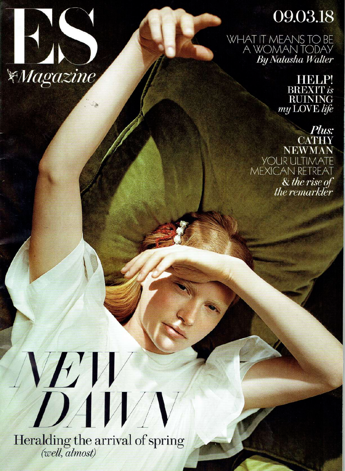

## 09.03.18

WHAT IT MEANS TO BE<br>A WOMAN TODAY **By Natasha Walter** 

> **HBLP BREXIT** is **RUINING** my LOVE life

Plus: **CATHY NEWMAN YOUR ULTIMATE** MEXICAN RETREAT & the rise of the remarkler

DÍV Heralding the arrival of spring<br>(*well, almost*)

W